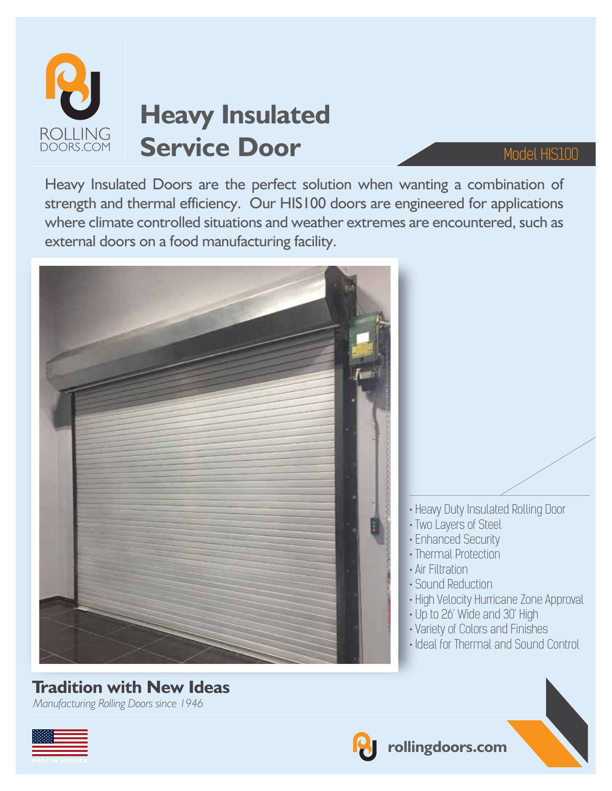

# **Heavy Insulated** Service Door Model HIS100

Heavy Insulated Doors are the perfect solution when wanting a combination of strength and thermal efficiency. Our HIS100 doors are engineered for applications where climate controlled situations and weather extremes are encountered, such as external doors on a food manufacturing facility.



*Manufacturing Rolling Doors since 1946*